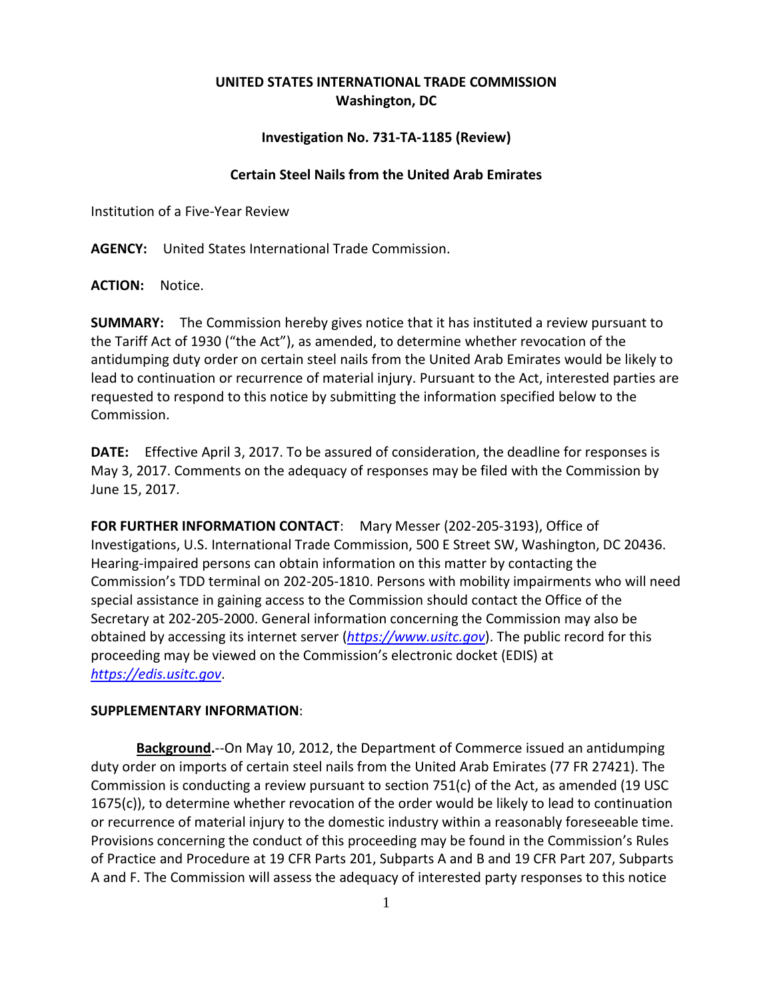## **UNITED STATES INTERNATIONAL TRADE COMMISSION Washington, DC**

## **Investigation No. 731-TA-1185 (Review)**

## **Certain Steel Nails from the United Arab Emirates**

Institution of a Five-Year Review

**AGENCY:** United States International Trade Commission.

**ACTION:** Notice.

**SUMMARY:** The Commission hereby gives notice that it has instituted a review pursuant to the Tariff Act of 1930 ("the Act"), as amended, to determine whether revocation of the antidumping duty order on certain steel nails from the United Arab Emirates would be likely to lead to continuation or recurrence of material injury. Pursuant to the Act, interested parties are requested to respond to this notice by submitting the information specified below to the Commission.

**DATE:** Effective April 3, 2017. To be assured of consideration, the deadline for responses is May 3, 2017. Comments on the adequacy of responses may be filed with the Commission by June 15, 2017.

**FOR FURTHER INFORMATION CONTACT**: Mary Messer (202-205-3193), Office of Investigations, U.S. International Trade Commission, 500 E Street SW, Washington, DC 20436. Hearing-impaired persons can obtain information on this matter by contacting the Commission's TDD terminal on 202-205-1810. Persons with mobility impairments who will need special assistance in gaining access to the Commission should contact the Office of the Secretary at 202-205-2000. General information concerning the Commission may also be obtained by accessing its internet server (*[https://www.usitc.gov](https://www.usitc.gov/)*). The public record for this proceeding may be viewed on the Commission's electronic docket (EDIS) at *[https://edis.usitc.gov](https://edis.usitc.gov/)*.

## **SUPPLEMENTARY INFORMATION**:

**Background.**--On May 10, 2012, the Department of Commerce issued an antidumping duty order on imports of certain steel nails from the United Arab Emirates (77 FR 27421). The Commission is conducting a review pursuant to section 751(c) of the Act, as amended (19 USC 1675(c)), to determine whether revocation of the order would be likely to lead to continuation or recurrence of material injury to the domestic industry within a reasonably foreseeable time. Provisions concerning the conduct of this proceeding may be found in the Commission's Rules of Practice and Procedure at 19 CFR Parts 201, Subparts A and B and 19 CFR Part 207, Subparts A and F. The Commission will assess the adequacy of interested party responses to this notice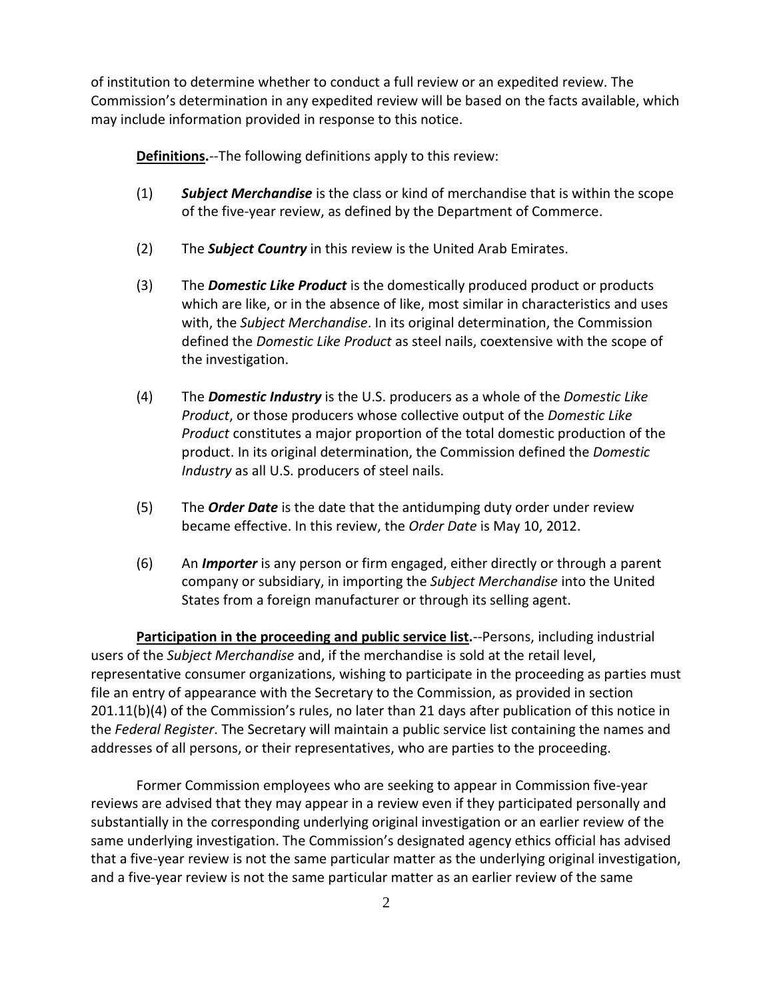of institution to determine whether to conduct a full review or an expedited review. The Commission's determination in any expedited review will be based on the facts available, which may include information provided in response to this notice.

**Definitions.**--The following definitions apply to this review:

- (1) *Subject Merchandise* is the class or kind of merchandise that is within the scope of the five-year review, as defined by the Department of Commerce.
- (2) The *Subject Country* in this review is the United Arab Emirates.
- (3) The *Domestic Like Product* is the domestically produced product or products which are like, or in the absence of like, most similar in characteristics and uses with, the *Subject Merchandise*. In its original determination, the Commission defined the *Domestic Like Product* as steel nails, coextensive with the scope of the investigation.
- (4) The *Domestic Industry* is the U.S. producers as a whole of the *Domestic Like Product*, or those producers whose collective output of the *Domestic Like Product* constitutes a major proportion of the total domestic production of the product. In its original determination, the Commission defined the *Domestic Industry* as all U.S. producers of steel nails.
- (5) The *Order Date* is the date that the antidumping duty order under review became effective. In this review, the *Order Date* is May 10, 2012.
- (6) An *Importer* is any person or firm engaged, either directly or through a parent company or subsidiary, in importing the *Subject Merchandise* into the United States from a foreign manufacturer or through its selling agent.

**Participation in the proceeding and public service list.**--Persons, including industrial users of the *Subject Merchandise* and, if the merchandise is sold at the retail level, representative consumer organizations, wishing to participate in the proceeding as parties must file an entry of appearance with the Secretary to the Commission, as provided in section 201.11(b)(4) of the Commission's rules, no later than 21 days after publication of this notice in the *Federal Register*. The Secretary will maintain a public service list containing the names and addresses of all persons, or their representatives, who are parties to the proceeding.

Former Commission employees who are seeking to appear in Commission five-year reviews are advised that they may appear in a review even if they participated personally and substantially in the corresponding underlying original investigation or an earlier review of the same underlying investigation. The Commission's designated agency ethics official has advised that a five-year review is not the same particular matter as the underlying original investigation, and a five-year review is not the same particular matter as an earlier review of the same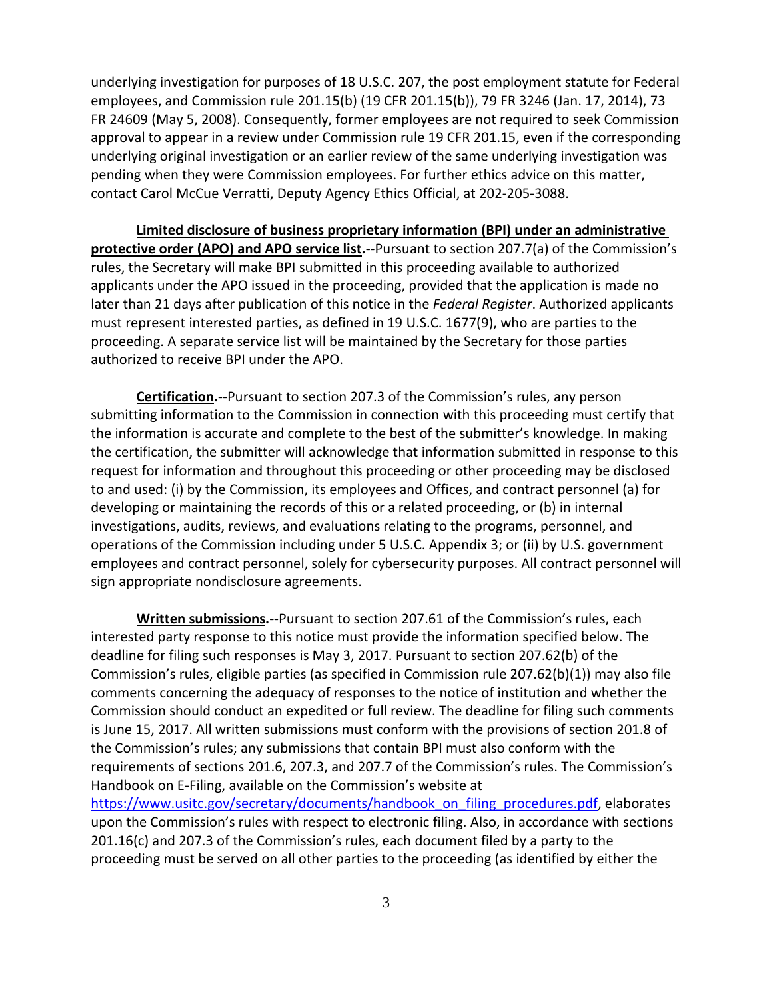underlying investigation for purposes of 18 U.S.C. 207, the post employment statute for Federal employees, and Commission rule 201.15(b) (19 CFR 201.15(b)), 79 FR 3246 (Jan. 17, 2014), 73 FR 24609 (May 5, 2008). Consequently, former employees are not required to seek Commission approval to appear in a review under Commission rule 19 CFR 201.15, even if the corresponding underlying original investigation or an earlier review of the same underlying investigation was pending when they were Commission employees. For further ethics advice on this matter, contact Carol McCue Verratti, Deputy Agency Ethics Official, at 202-205-3088.

**Limited disclosure of business proprietary information (BPI) under an administrative protective order (APO) and APO service list.**--Pursuant to section 207.7(a) of the Commission's rules, the Secretary will make BPI submitted in this proceeding available to authorized applicants under the APO issued in the proceeding, provided that the application is made no later than 21 days after publication of this notice in the *Federal Register*. Authorized applicants must represent interested parties, as defined in 19 U.S.C. 1677(9), who are parties to the proceeding. A separate service list will be maintained by the Secretary for those parties authorized to receive BPI under the APO.

**Certification.**--Pursuant to section 207.3 of the Commission's rules, any person submitting information to the Commission in connection with this proceeding must certify that the information is accurate and complete to the best of the submitter's knowledge. In making the certification, the submitter will acknowledge that information submitted in response to this request for information and throughout this proceeding or other proceeding may be disclosed to and used: (i) by the Commission, its employees and Offices, and contract personnel (a) for developing or maintaining the records of this or a related proceeding, or (b) in internal investigations, audits, reviews, and evaluations relating to the programs, personnel, and operations of the Commission including under 5 U.S.C. Appendix 3; or (ii) by U.S. government employees and contract personnel, solely for cybersecurity purposes. All contract personnel will sign appropriate nondisclosure agreements.

**Written submissions.**--Pursuant to section 207.61 of the Commission's rules, each interested party response to this notice must provide the information specified below. The deadline for filing such responses is May 3, 2017. Pursuant to section 207.62(b) of the Commission's rules, eligible parties (as specified in Commission rule 207.62(b)(1)) may also file comments concerning the adequacy of responses to the notice of institution and whether the Commission should conduct an expedited or full review. The deadline for filing such comments is June 15, 2017. All written submissions must conform with the provisions of section 201.8 of the Commission's rules; any submissions that contain BPI must also conform with the requirements of sections 201.6, 207.3, and 207.7 of the Commission's rules. The Commission's Handbook on E-Filing, available on the Commission's website at [https://www.usitc.gov/secretary/documents/handbook\\_on\\_filing\\_procedures.pdf,](https://www.usitc.gov/secretary/documents/handbook_on_filing_procedures.pdf) elaborates upon the Commission's rules with respect to electronic filing. Also, in accordance with sections 201.16(c) and 207.3 of the Commission's rules, each document filed by a party to the proceeding must be served on all other parties to the proceeding (as identified by either the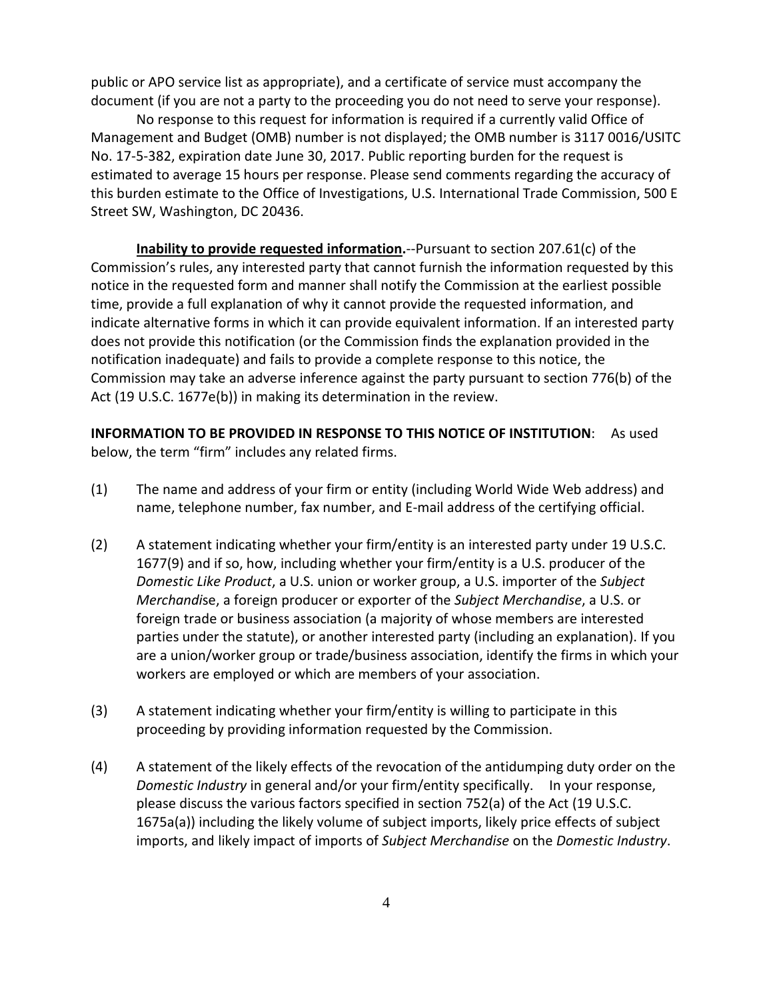public or APO service list as appropriate), and a certificate of service must accompany the document (if you are not a party to the proceeding you do not need to serve your response).

No response to this request for information is required if a currently valid Office of Management and Budget (OMB) number is not displayed; the OMB number is 3117 0016/USITC No. 17-5-382, expiration date June 30, 2017. Public reporting burden for the request is estimated to average 15 hours per response. Please send comments regarding the accuracy of this burden estimate to the Office of Investigations, U.S. International Trade Commission, 500 E Street SW, Washington, DC 20436.

**Inability to provide requested information.**--Pursuant to section 207.61(c) of the Commission's rules, any interested party that cannot furnish the information requested by this notice in the requested form and manner shall notify the Commission at the earliest possible time, provide a full explanation of why it cannot provide the requested information, and indicate alternative forms in which it can provide equivalent information. If an interested party does not provide this notification (or the Commission finds the explanation provided in the notification inadequate) and fails to provide a complete response to this notice, the Commission may take an adverse inference against the party pursuant to section 776(b) of the Act (19 U.S.C. 1677e(b)) in making its determination in the review.

**INFORMATION TO BE PROVIDED IN RESPONSE TO THIS NOTICE OF INSTITUTION**: As used below, the term "firm" includes any related firms.

- (1) The name and address of your firm or entity (including World Wide Web address) and name, telephone number, fax number, and E-mail address of the certifying official.
- (2) A statement indicating whether your firm/entity is an interested party under 19 U.S.C. 1677(9) and if so, how, including whether your firm/entity is a U.S. producer of the *Domestic Like Product*, a U.S. union or worker group, a U.S. importer of the *Subject Merchandi*se, a foreign producer or exporter of the *Subject Merchandise*, a U.S. or foreign trade or business association (a majority of whose members are interested parties under the statute), or another interested party (including an explanation). If you are a union/worker group or trade/business association, identify the firms in which your workers are employed or which are members of your association.
- (3) A statement indicating whether your firm/entity is willing to participate in this proceeding by providing information requested by the Commission.
- (4) A statement of the likely effects of the revocation of the antidumping duty order on the *Domestic Industry* in general and/or your firm/entity specifically. In your response, please discuss the various factors specified in section 752(a) of the Act (19 U.S.C. 1675a(a)) including the likely volume of subject imports, likely price effects of subject imports, and likely impact of imports of *Subject Merchandise* on the *Domestic Industry*.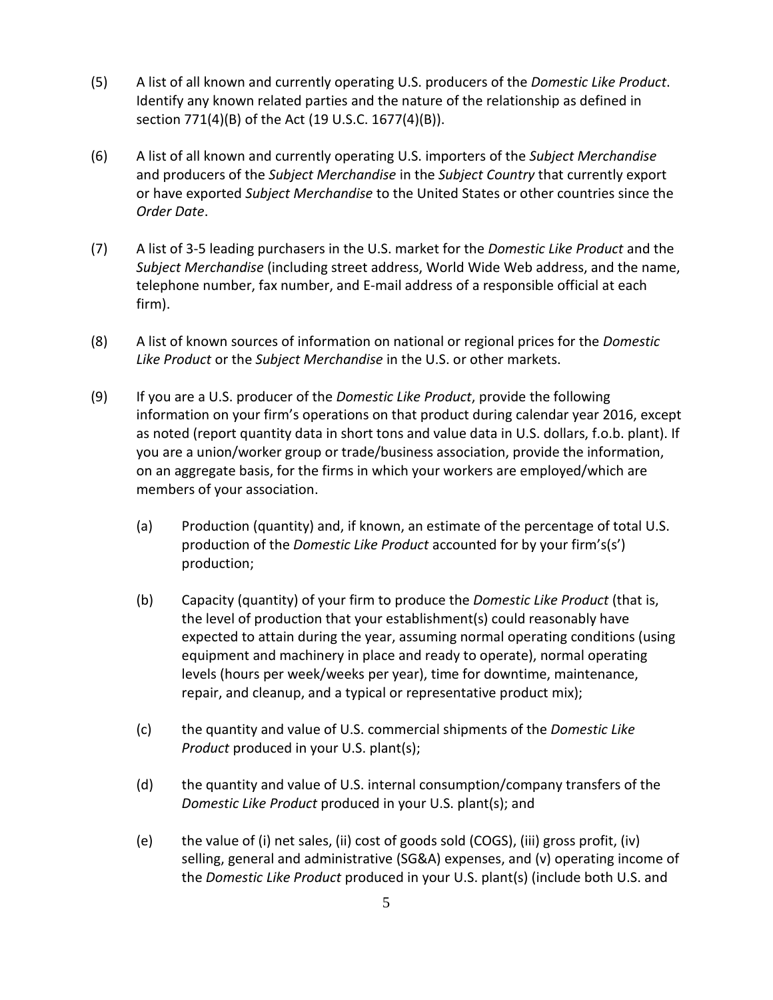- (5) A list of all known and currently operating U.S. producers of the *Domestic Like Product*. Identify any known related parties and the nature of the relationship as defined in section 771(4)(B) of the Act (19 U.S.C. 1677(4)(B)).
- (6) A list of all known and currently operating U.S. importers of the *Subject Merchandise* and producers of the *Subject Merchandise* in the *Subject Country* that currently export or have exported *Subject Merchandise* to the United States or other countries since the *Order Date*.
- (7) A list of 3-5 leading purchasers in the U.S. market for the *Domestic Like Product* and the *Subject Merchandise* (including street address, World Wide Web address, and the name, telephone number, fax number, and E-mail address of a responsible official at each firm).
- (8) A list of known sources of information on national or regional prices for the *Domestic Like Product* or the *Subject Merchandise* in the U.S. or other markets.
- (9) If you are a U.S. producer of the *Domestic Like Product*, provide the following information on your firm's operations on that product during calendar year 2016, except as noted (report quantity data in short tons and value data in U.S. dollars, f.o.b. plant). If you are a union/worker group or trade/business association, provide the information, on an aggregate basis, for the firms in which your workers are employed/which are members of your association.
	- (a) Production (quantity) and, if known, an estimate of the percentage of total U.S. production of the *Domestic Like Product* accounted for by your firm's(s') production;
	- (b) Capacity (quantity) of your firm to produce the *Domestic Like Product* (that is, the level of production that your establishment(s) could reasonably have expected to attain during the year, assuming normal operating conditions (using equipment and machinery in place and ready to operate), normal operating levels (hours per week/weeks per year), time for downtime, maintenance, repair, and cleanup, and a typical or representative product mix);
	- (c) the quantity and value of U.S. commercial shipments of the *Domestic Like Product* produced in your U.S. plant(s);
	- (d) the quantity and value of U.S. internal consumption/company transfers of the *Domestic Like Product* produced in your U.S. plant(s); and
	- (e) the value of (i) net sales, (ii) cost of goods sold (COGS), (iii) gross profit, (iv) selling, general and administrative (SG&A) expenses, and (v) operating income of the *Domestic Like Product* produced in your U.S. plant(s) (include both U.S. and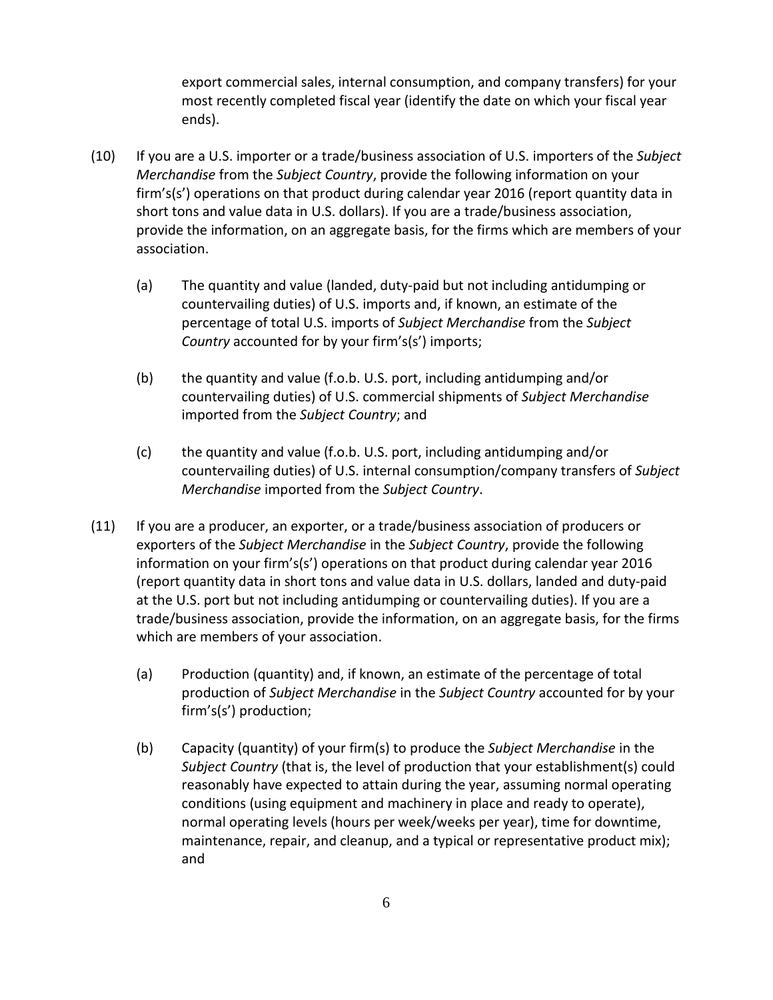export commercial sales, internal consumption, and company transfers) for your most recently completed fiscal year (identify the date on which your fiscal year ends).

- (10) If you are a U.S. importer or a trade/business association of U.S. importers of the *Subject Merchandise* from the *Subject Country*, provide the following information on your firm's(s') operations on that product during calendar year 2016 (report quantity data in short tons and value data in U.S. dollars). If you are a trade/business association, provide the information, on an aggregate basis, for the firms which are members of your association.
	- (a) The quantity and value (landed, duty-paid but not including antidumping or countervailing duties) of U.S. imports and, if known, an estimate of the percentage of total U.S. imports of *Subject Merchandise* from the *Subject Country* accounted for by your firm's(s') imports;
	- (b) the quantity and value (f.o.b. U.S. port, including antidumping and/or countervailing duties) of U.S. commercial shipments of *Subject Merchandise* imported from the *Subject Country*; and
	- (c) the quantity and value (f.o.b. U.S. port, including antidumping and/or countervailing duties) of U.S. internal consumption/company transfers of *Subject Merchandise* imported from the *Subject Country*.
- (11) If you are a producer, an exporter, or a trade/business association of producers or exporters of the *Subject Merchandise* in the *Subject Country*, provide the following information on your firm's(s') operations on that product during calendar year 2016 (report quantity data in short tons and value data in U.S. dollars, landed and duty-paid at the U.S. port but not including antidumping or countervailing duties). If you are a trade/business association, provide the information, on an aggregate basis, for the firms which are members of your association.
	- (a) Production (quantity) and, if known, an estimate of the percentage of total production of *Subject Merchandise* in the *Subject Country* accounted for by your firm's(s') production;
	- (b) Capacity (quantity) of your firm(s) to produce the *Subject Merchandise* in the *Subject Country* (that is, the level of production that your establishment(s) could reasonably have expected to attain during the year, assuming normal operating conditions (using equipment and machinery in place and ready to operate), normal operating levels (hours per week/weeks per year), time for downtime, maintenance, repair, and cleanup, and a typical or representative product mix); and